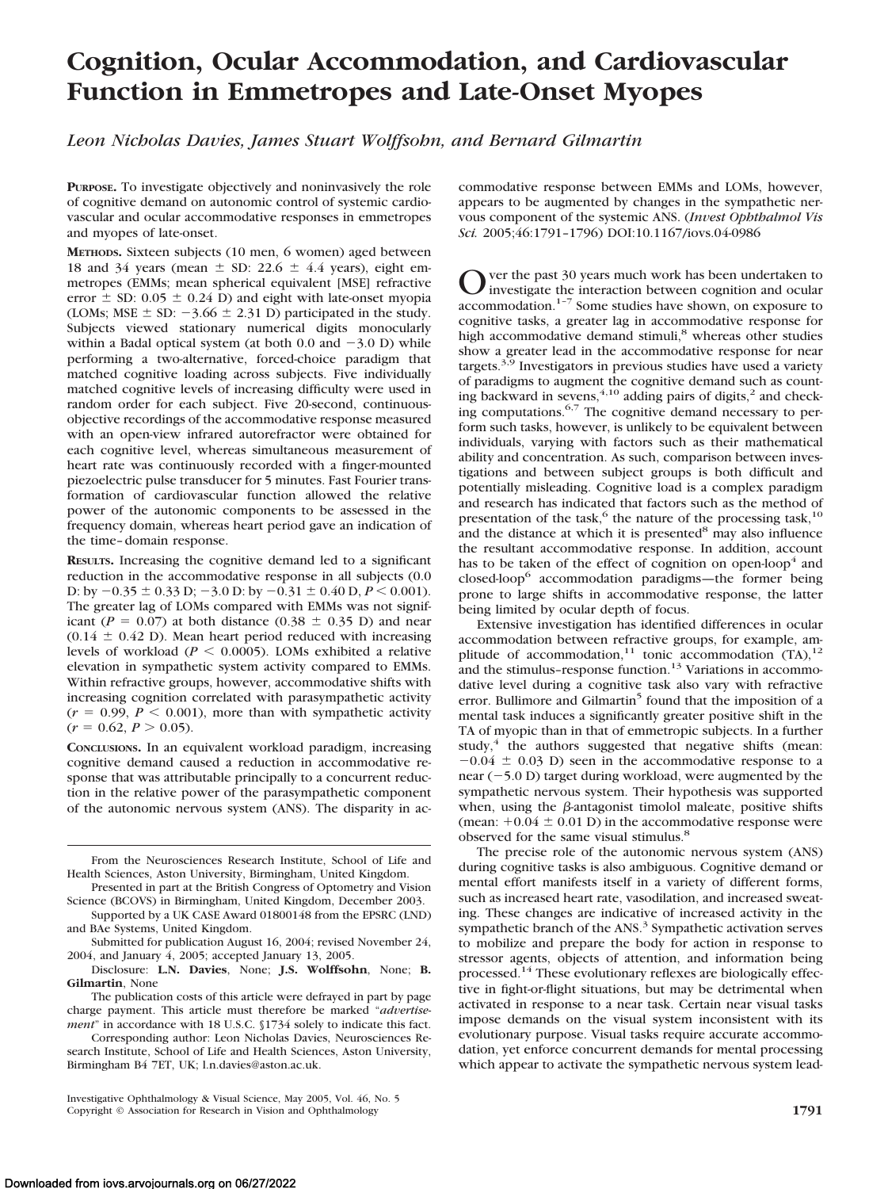# **Cognition, Ocular Accommodation, and Cardiovascular Function in Emmetropes and Late-Onset Myopes**

*Leon Nicholas Davies, James Stuart Wolffsohn, and Bernard Gilmartin*

**PURPOSE.** To investigate objectively and noninvasively the role of cognitive demand on autonomic control of systemic cardiovascular and ocular accommodative responses in emmetropes and myopes of late-onset.

**METHODS.** Sixteen subjects (10 men, 6 women) aged between 18 and 34 years (mean  $\pm$  SD: 22.6  $\pm$  4.4 years), eight emmetropes (EMMs; mean spherical equivalent [MSE] refractive error  $\pm$  SD: 0.05  $\pm$  0.24 D) and eight with late-onset myopia (LOMs; MSE  $\pm$  SD:  $-3.66 \pm 2.31$  D) participated in the study. Subjects viewed stationary numerical digits monocularly within a Badal optical system (at both  $0.0$  and  $-3.0$  D) while performing a two-alternative, forced-choice paradigm that matched cognitive loading across subjects. Five individually matched cognitive levels of increasing difficulty were used in random order for each subject. Five 20-second, continuousobjective recordings of the accommodative response measured with an open-view infrared autorefractor were obtained for each cognitive level, whereas simultaneous measurement of heart rate was continuously recorded with a finger-mounted piezoelectric pulse transducer for 5 minutes. Fast Fourier transformation of cardiovascular function allowed the relative power of the autonomic components to be assessed in the frequency domain, whereas heart period gave an indication of the time– domain response.

**RESULTS.** Increasing the cognitive demand led to a significant reduction in the accommodative response in all subjects (0.0 D: by  $-0.35 \pm 0.33$  D;  $-3.0$  D: by  $-0.31 \pm 0.40$  D,  $P \le 0.001$ ). The greater lag of LOMs compared with EMMs was not significant ( $P = 0.07$ ) at both distance (0.38  $\pm$  0.35 D) and near  $(0.14 \pm 0.42 \text{ D})$ . Mean heart period reduced with increasing levels of workload ( $P \leq 0.0005$ ). LOMs exhibited a relative elevation in sympathetic system activity compared to EMMs. Within refractive groups, however, accommodative shifts with increasing cognition correlated with parasympathetic activity  $(r = 0.99, P < 0.001)$ , more than with sympathetic activity  $(r = 0.62, P > 0.05)$ .

**CONCLUSIONS.** In an equivalent workload paradigm, increasing cognitive demand caused a reduction in accommodative response that was attributable principally to a concurrent reduction in the relative power of the parasympathetic component of the autonomic nervous system (ANS). The disparity in accommodative response between EMMs and LOMs, however, appears to be augmented by changes in the sympathetic nervous component of the systemic ANS. (*Invest Ophthalmol Vis Sci.* 2005;46:1791–1796) DOI:10.1167/iovs.04-0986

 $\sum$  ver the past 30 years much work has been undertaken to investigate the interaction between cognition and ocular accommodation.1–7 Some studies have shown, on exposure to cognitive tasks, a greater lag in accommodative response for high accommodative demand stimuli,<sup>8</sup> whereas other studies show a greater lead in the accommodative response for near targets.<sup>3,9</sup> Investigators in previous studies have used a variety of paradigms to augment the cognitive demand such as counting backward in sevens, $4,10$  adding pairs of digits, $^2$  and checking computations.<sup>6,7</sup> The cognitive demand necessary to perform such tasks, however, is unlikely to be equivalent between individuals, varying with factors such as their mathematical ability and concentration. As such, comparison between investigations and between subject groups is both difficult and potentially misleading. Cognitive load is a complex paradigm and research has indicated that factors such as the method of presentation of the task,<sup>6</sup> the nature of the processing task,<sup>10</sup> and the distance at which it is presented $8$  may also influence the resultant accommodative response. In addition, account has to be taken of the effect of cognition on open-loop<sup>4</sup> and closed-loop6 accommodation paradigms—the former being prone to large shifts in accommodative response, the latter being limited by ocular depth of focus.

Extensive investigation has identified differences in ocular accommodation between refractive groups, for example, amplitude of accommodation,<sup>11</sup> tonic accommodation  $(TA)$ ,<sup>12</sup> and the stimulus–response function.<sup>13</sup> Variations in accommodative level during a cognitive task also vary with refractive error. Bullimore and Gilmartin<sup>5</sup> found that the imposition of a mental task induces a significantly greater positive shift in the TA of myopic than in that of emmetropic subjects. In a further study, $4$  the authors suggested that negative shifts (mean:  $-0.04 \pm 0.03$  D) seen in the accommodative response to a  $near$  ( $-5.0$  D) target during workload, were augmented by the sympathetic nervous system. Their hypothesis was supported when, using the  $\beta$ -antagonist timolol maleate, positive shifts (mean:  $+0.04 \pm 0.01$  D) in the accommodative response were observed for the same visual stimulus.<sup>8</sup>

The precise role of the autonomic nervous system (ANS) during cognitive tasks is also ambiguous. Cognitive demand or mental effort manifests itself in a variety of different forms, such as increased heart rate, vasodilation, and increased sweating. These changes are indicative of increased activity in the sympathetic branch of the ANS.<sup>3</sup> Sympathetic activation serves to mobilize and prepare the body for action in response to stressor agents, objects of attention, and information being processed.14 These evolutionary reflexes are biologically effective in fight-or-flight situations, but may be detrimental when activated in response to a near task. Certain near visual tasks impose demands on the visual system inconsistent with its evolutionary purpose. Visual tasks require accurate accommodation, yet enforce concurrent demands for mental processing which appear to activate the sympathetic nervous system lead-

From the Neurosciences Research Institute, School of Life and Health Sciences, Aston University, Birmingham, United Kingdom.

Presented in part at the British Congress of Optometry and Vision Science (BCOVS) in Birmingham, United Kingdom, December 2003.

Supported by a UK CASE Award 01800148 from the EPSRC (LND) and BAe Systems, United Kingdom.

Submitted for publication August 16, 2004; revised November 24, 2004, and January 4, 2005; accepted January 13, 2005.

Disclosure: **L.N. Davies**, None; **J.S. Wolffsohn**, None; **B. Gilmartin**, None

The publication costs of this article were defrayed in part by page charge payment. This article must therefore be marked "*advertisement*" in accordance with 18 U.S.C. §1734 solely to indicate this fact.

Corresponding author: Leon Nicholas Davies, Neurosciences Research Institute, School of Life and Health Sciences, Aston University, Birmingham B4 7ET, UK; l.n.davies@aston.ac.uk.

Investigative Ophthalmology & Visual Science, May 2005, Vol. 46, No. 5 Copyright © Association for Research in Vision and Ophthalmology **1791**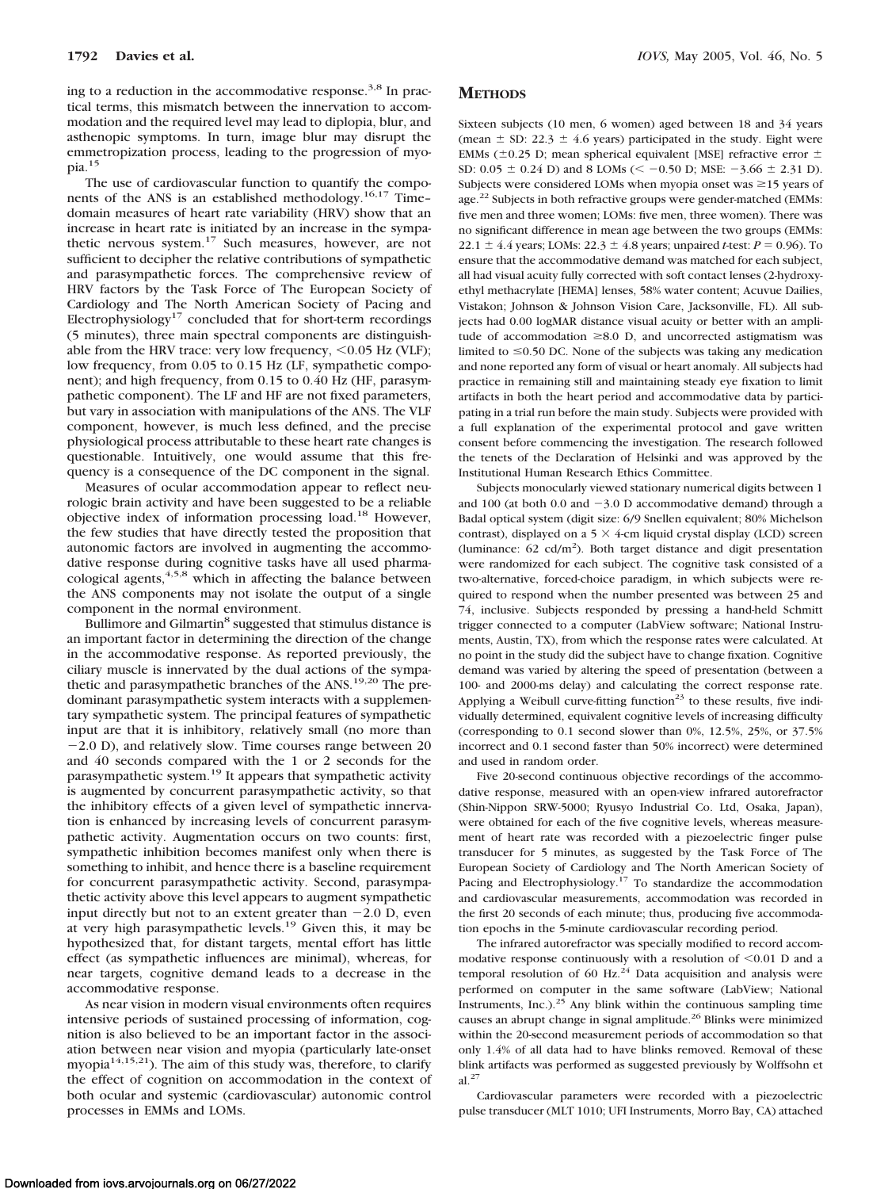ing to a reduction in the accommodative response.<sup>3,8</sup> In practical terms, this mismatch between the innervation to accommodation and the required level may lead to diplopia, blur, and asthenopic symptoms. In turn, image blur may disrupt the emmetropization process, leading to the progression of myopia.15

The use of cardiovascular function to quantify the components of the ANS is an established methodology.<sup>16,17</sup> Time– domain measures of heart rate variability (HRV) show that an increase in heart rate is initiated by an increase in the sympathetic nervous system.17 Such measures, however, are not sufficient to decipher the relative contributions of sympathetic and parasympathetic forces. The comprehensive review of HRV factors by the Task Force of The European Society of Cardiology and The North American Society of Pacing and Electrophysiology<sup>17</sup> concluded that for short-term recordings (5 minutes), three main spectral components are distinguishable from the HRV trace: very low frequency,  $<$  0.05 Hz (VLF); low frequency, from 0.05 to 0.15 Hz (LF, sympathetic component); and high frequency, from 0.15 to 0.40 Hz (HF, parasympathetic component). The LF and HF are not fixed parameters, but vary in association with manipulations of the ANS. The VLF component, however, is much less defined, and the precise physiological process attributable to these heart rate changes is questionable. Intuitively, one would assume that this frequency is a consequence of the DC component in the signal.

Measures of ocular accommodation appear to reflect neurologic brain activity and have been suggested to be a reliable objective index of information processing load.18 However, the few studies that have directly tested the proposition that autonomic factors are involved in augmenting the accommodative response during cognitive tasks have all used pharmacological agents,<sup>4,5,8</sup> which in affecting the balance between the ANS components may not isolate the output of a single component in the normal environment.

Bullimore and Gilmartin<sup>8</sup> suggested that stimulus distance is an important factor in determining the direction of the change in the accommodative response. As reported previously, the ciliary muscle is innervated by the dual actions of the sympathetic and parasympathetic branches of the ANS.<sup>19,20</sup> The predominant parasympathetic system interacts with a supplementary sympathetic system. The principal features of sympathetic input are that it is inhibitory, relatively small (no more than -2.0 D), and relatively slow. Time courses range between 20 and 40 seconds compared with the 1 or 2 seconds for the parasympathetic system.19 It appears that sympathetic activity is augmented by concurrent parasympathetic activity, so that the inhibitory effects of a given level of sympathetic innervation is enhanced by increasing levels of concurrent parasympathetic activity. Augmentation occurs on two counts: first, sympathetic inhibition becomes manifest only when there is something to inhibit, and hence there is a baseline requirement for concurrent parasympathetic activity. Second, parasympathetic activity above this level appears to augment sympathetic input directly but not to an extent greater than  $-2.0$  D, even at very high parasympathetic levels.19 Given this, it may be hypothesized that, for distant targets, mental effort has little effect (as sympathetic influences are minimal), whereas, for near targets, cognitive demand leads to a decrease in the accommodative response.

As near vision in modern visual environments often requires intensive periods of sustained processing of information, cognition is also believed to be an important factor in the association between near vision and myopia (particularly late-onset myopia $14,15,21$ ). The aim of this study was, therefore, to clarify the effect of cognition on accommodation in the context of both ocular and systemic (cardiovascular) autonomic control processes in EMMs and LOMs.

#### **METHODS**

Sixteen subjects (10 men, 6 women) aged between 18 and 34 years (mean  $\pm$  SD: 22.3  $\pm$  4.6 years) participated in the study. Eight were EMMs ( $\pm$ 0.25 D; mean spherical equivalent [MSE] refractive error  $\pm$ SD:  $0.05 \pm 0.24$  D) and 8 LOMs (< -0.50 D; MSE: -3.66  $\pm$  2.31 D). Subjects were considered LOMs when myopia onset was  $\geq$ 15 years of age.<sup>22</sup> Subjects in both refractive groups were gender-matched (EMMs: five men and three women; LOMs: five men, three women). There was no significant difference in mean age between the two groups (EMMs: 22.1  $\pm$  4.4 years; LOMs: 22.3  $\pm$  4.8 years; unpaired *t*-test: *P* = 0.96). To ensure that the accommodative demand was matched for each subject, all had visual acuity fully corrected with soft contact lenses (2-hydroxyethyl methacrylate [HEMA] lenses, 58% water content; Acuvue Dailies, Vistakon; Johnson & Johnson Vision Care, Jacksonville, FL). All subjects had 0.00 logMAR distance visual acuity or better with an amplitude of accommodation  $\geq 8.0$  D, and uncorrected astigmatism was limited to  $\leq$  0.50 DC. None of the subjects was taking any medication and none reported any form of visual or heart anomaly. All subjects had practice in remaining still and maintaining steady eye fixation to limit artifacts in both the heart period and accommodative data by participating in a trial run before the main study. Subjects were provided with a full explanation of the experimental protocol and gave written consent before commencing the investigation. The research followed the tenets of the Declaration of Helsinki and was approved by the Institutional Human Research Ethics Committee.

Subjects monocularly viewed stationary numerical digits between 1 and  $100$  (at both  $0.0$  and  $-3.0$  D accommodative demand) through a Badal optical system (digit size: 6/9 Snellen equivalent; 80% Michelson contrast), displayed on a 5  $\times$  4-cm liquid crystal display (LCD) screen (luminance:  $62 \text{ cd/m}^2$ ). Both target distance and digit presentation were randomized for each subject. The cognitive task consisted of a two-alternative, forced-choice paradigm, in which subjects were required to respond when the number presented was between 25 and 74, inclusive. Subjects responded by pressing a hand-held Schmitt trigger connected to a computer (LabView software; National Instruments, Austin, TX), from which the response rates were calculated. At no point in the study did the subject have to change fixation. Cognitive demand was varied by altering the speed of presentation (between a 100- and 2000-ms delay) and calculating the correct response rate. Applying a Weibull curve-fitting function<sup>23</sup> to these results, five individually determined, equivalent cognitive levels of increasing difficulty (corresponding to 0.1 second slower than 0%, 12.5%, 25%, or 37.5% incorrect and 0.1 second faster than 50% incorrect) were determined and used in random order.

Five 20-second continuous objective recordings of the accommodative response, measured with an open-view infrared autorefractor (Shin-Nippon SRW-5000; Ryusyo Industrial Co. Ltd, Osaka, Japan), were obtained for each of the five cognitive levels, whereas measurement of heart rate was recorded with a piezoelectric finger pulse transducer for 5 minutes, as suggested by the Task Force of The European Society of Cardiology and The North American Society of Pacing and Electrophysiology.<sup>17</sup> To standardize the accommodation and cardiovascular measurements, accommodation was recorded in the first 20 seconds of each minute; thus, producing five accommodation epochs in the 5-minute cardiovascular recording period.

The infrared autorefractor was specially modified to record accommodative response continuously with a resolution of  $\leq 0.01$  D and a temporal resolution of 60 Hz. $^{24}$  Data acquisition and analysis were performed on computer in the same software (LabView; National Instruments, Inc.). $25$  Any blink within the continuous sampling time causes an abrupt change in signal amplitude.26 Blinks were minimized within the 20-second measurement periods of accommodation so that only 1.4% of all data had to have blinks removed. Removal of these blink artifacts was performed as suggested previously by Wolffsohn et al.27

Cardiovascular parameters were recorded with a piezoelectric pulse transducer (MLT 1010; UFI Instruments, Morro Bay, CA) attached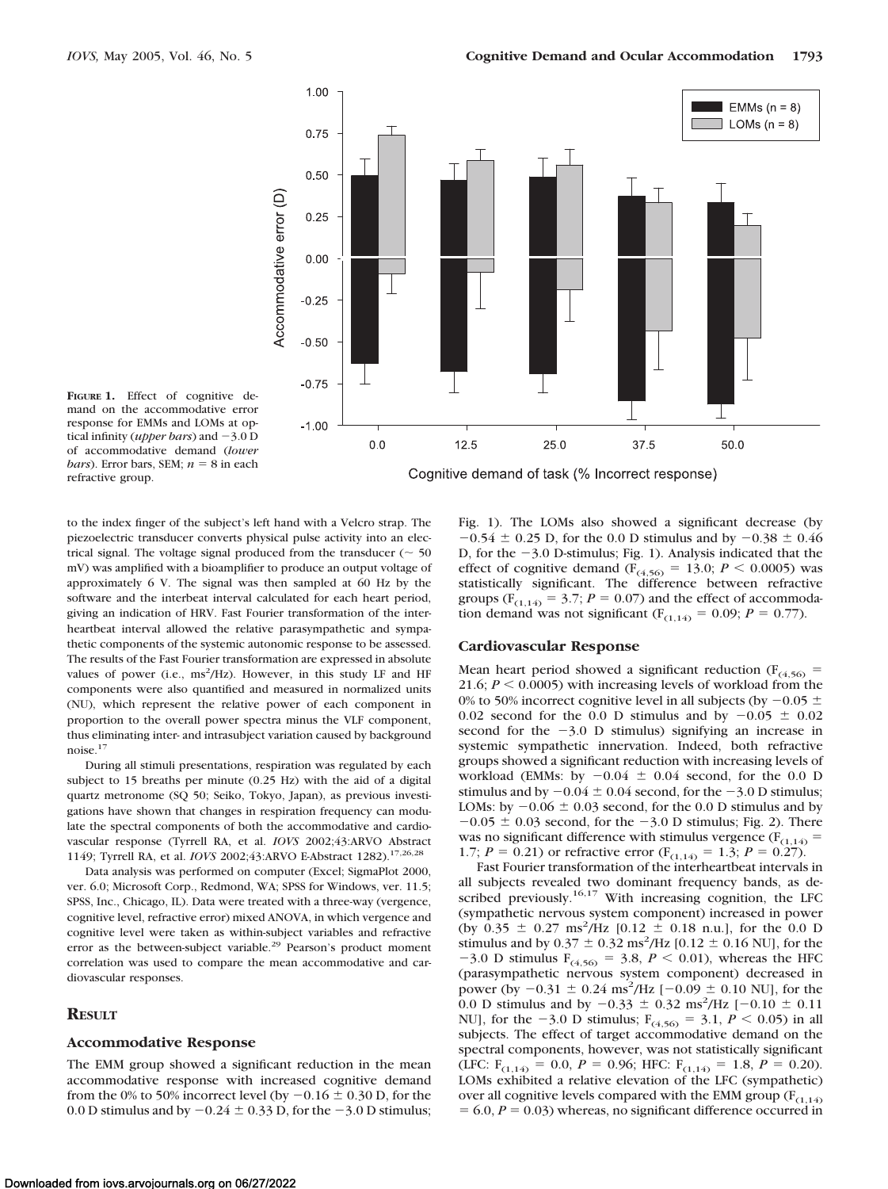

**FIGURE 1.** Effect of cognitive demand on the accommodative error response for EMMs and LOMs at optical infinity (*upper bars*) and -3.0 D of accommodative demand (*lower bars*). Error bars, SEM;  $n = 8$  in each refractive group.

to the index finger of the subject's left hand with a Velcro strap. The piezoelectric transducer converts physical pulse activity into an electrical signal. The voltage signal produced from the transducer ( $\sim$  50 mV) was amplified with a bioamplifier to produce an output voltage of approximately 6 V. The signal was then sampled at 60 Hz by the software and the interbeat interval calculated for each heart period, giving an indication of HRV. Fast Fourier transformation of the interheartbeat interval allowed the relative parasympathetic and sympathetic components of the systemic autonomic response to be assessed. The results of the Fast Fourier transformation are expressed in absolute values of power (i.e., ms<sup>2</sup>/Hz). However, in this study LF and HF components were also quantified and measured in normalized units (NU), which represent the relative power of each component in proportion to the overall power spectra minus the VLF component, thus eliminating inter- and intrasubject variation caused by background noise.17

During all stimuli presentations, respiration was regulated by each subject to 15 breaths per minute (0.25 Hz) with the aid of a digital quartz metronome (SQ 50; Seiko, Tokyo, Japan), as previous investigations have shown that changes in respiration frequency can modulate the spectral components of both the accommodative and cardiovascular response (Tyrrell RA, et al. *IOVS* 2002;43:ARVO Abstract 1149; Tyrrell RA, et al. *IOVS* 2002;43:ARVO E-Abstract 1282).17,26,28

Data analysis was performed on computer (Excel; SigmaPlot 2000, ver. 6.0; Microsoft Corp., Redmond, WA; SPSS for Windows, ver. 11.5; SPSS, Inc., Chicago, IL). Data were treated with a three-way (vergence, cognitive level, refractive error) mixed ANOVA, in which vergence and cognitive level were taken as within-subject variables and refractive error as the between-subject variable.<sup>29</sup> Pearson's product moment correlation was used to compare the mean accommodative and cardiovascular responses.

## **RESULT**

### **Accommodative Response**

The EMM group showed a significant reduction in the mean accommodative response with increased cognitive demand from the 0% to 50% incorrect level (by  $-0.16 \pm 0.30$  D, for the 0.0 D stimulus and by  $-0.24 \pm 0.33$  D, for the  $-3.0$  D stimulus;

Fig. 1). The LOMs also showed a significant decrease (by  $-0.54 \pm 0.25$  D, for the 0.0 D stimulus and by  $-0.38 \pm 0.46$ D, for the -3.0 D-stimulus; Fig. 1). Analysis indicated that the effect of cognitive demand ( $F_{(4,56)} = 13.0; P \le 0.0005$ ) was statistically significant. The difference between refractive groups ( $F_{(1,14)} = 3.7$ ;  $P = 0.07$ ) and the effect of accommodation demand was not significant ( $F_{(1,14)} = 0.09$ ;  $P = 0.77$ ).

# **Cardiovascular Response**

Mean heart period showed a significant reduction ( $F_{(4,56)}$  = 21.6;  $P \le 0.0005$ ) with increasing levels of workload from the 0% to 50% incorrect cognitive level in all subjects (by  $-0.05 \pm$ 0.02 second for the 0.0 D stimulus and by  $-0.05 \pm 0.02$ second for the  $-3.0$  D stimulus) signifying an increase in systemic sympathetic innervation. Indeed, both refractive groups showed a significant reduction with increasing levels of workload (EMMs: by  $-0.04 \pm 0.04$  second, for the 0.0 D stimulus and by  $-0.04 \pm 0.04$  second, for the  $-3.0$  D stimulus; LOMs: by  $-0.06 \pm 0.03$  second, for the 0.0 D stimulus and by  $-0.05 \pm 0.03$  second, for the  $-3.0$  D stimulus; Fig. 2). There was no significant difference with stimulus vergence ( $F_{(1,14)}$  = 1.7;  $P = 0.21$ ) or refractive error ( $F_{(1,14)} = 1.3$ ;  $P = 0.27$ ).

Fast Fourier transformation of the interheartbeat intervals in all subjects revealed two dominant frequency bands, as described previously.<sup>16,17</sup> With increasing cognition, the LFC (sympathetic nervous system component) increased in power (by  $0.35 \pm 0.27$  ms<sup>2</sup>/Hz [0.12  $\pm$  0.18 n.u.], for the 0.0 D stimulus and by  $0.37 \pm 0.32$  ms<sup>2</sup>/Hz [0.12  $\pm$  0.16 NU], for the  $-3.0$  D stimulus  $F_{(4,56)} = 3.8$ ,  $P < 0.01$ ), whereas the HFC (parasympathetic nervous system component) decreased in power (by  $-0.31 \pm 0.24$  ms<sup>2</sup>/Hz [ $-0.09 \pm 0.10$  NU], for the 0.0 D stimulus and by  $-0.33 \pm 0.32$  ms<sup>2</sup>/Hz [ $-0.10 \pm 0.11$ ] NU], for the  $-3.0$  D stimulus;  $F_{(4,56)} = 3.1, P \le 0.05$ ) in all subjects. The effect of target accommodative demand on the spectral components, however, was not statistically significant (LFC:  $F_{(1,14)} = 0.0$ ,  $P = 0.96$ ; HFC:  $F_{(1,14)} = 1.8$ ,  $P = 0.20$ ). LOMs exhibited a relative elevation of the LFC (sympathetic) over all cognitive levels compared with the EMM group  $(F_{(1,14)}$  $= 6.0, P = 0.03$ ) whereas, no significant difference occurred in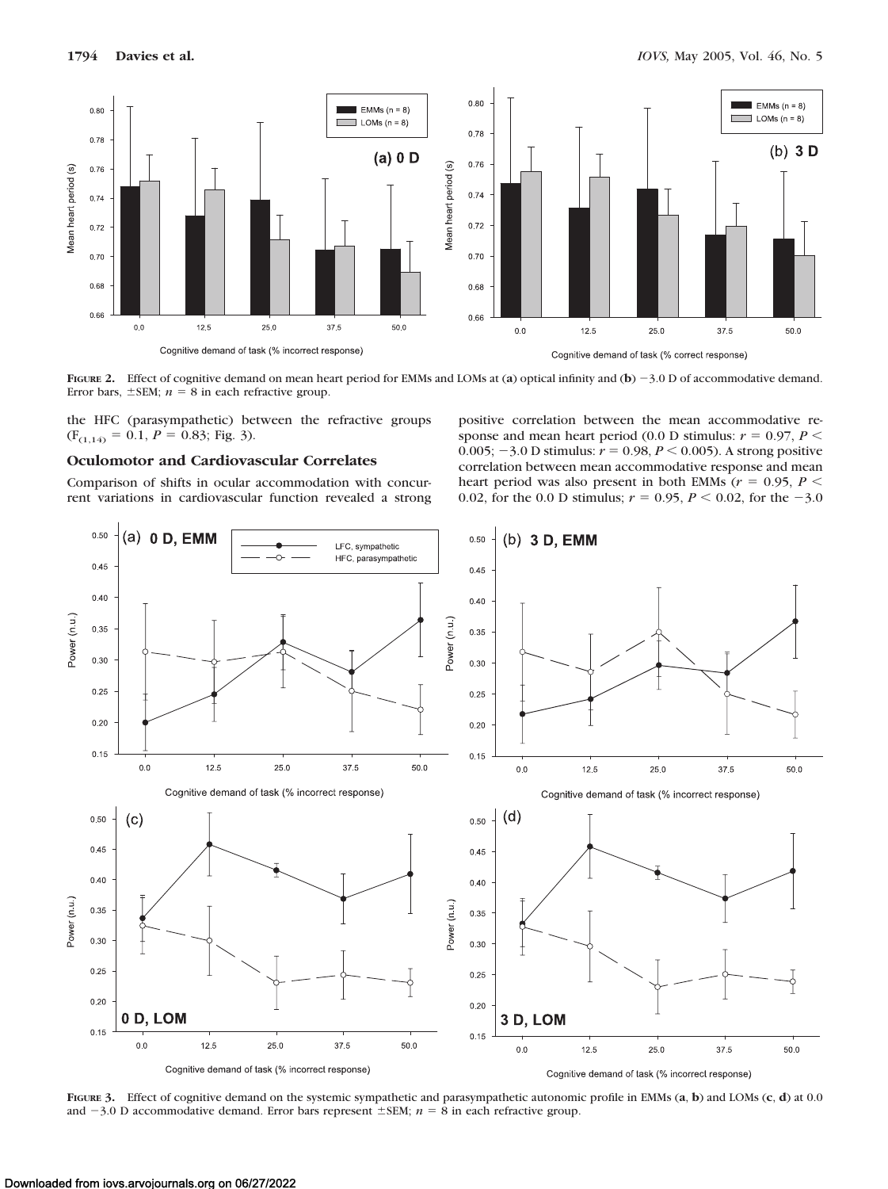

**FIGURE 2.** Effect of cognitive demand on mean heart period for EMMs and LOMs at (a) optical infinity and (b)  $-3.0$  D of accommodative demand. Error bars,  $\pm$ SEM;  $n = 8$  in each refractive group.

the HFC (parasympathetic) between the refractive groups  $(F<sub>(1,14)</sub> = 0.1, P = 0.83; Fig. 3).$ 

# **Oculomotor and Cardiovascular Correlates**

Comparison of shifts in ocular accommodation with concurrent variations in cardiovascular function revealed a strong

positive correlation between the mean accommodative response and mean heart period (0.0 D stimulus:  $r = 0.97$ ,  $P \le$ 0.005;  $-3.0$  D stimulus:  $r = 0.98$ ,  $P < 0.005$ ). A strong positive correlation between mean accommodative response and mean heart period was also present in both EMMs ( $r = 0.95$ ,  $P \le$ 0.02, for the 0.0 D stimulus;  $r = 0.95$ ,  $P \le 0.02$ , for the  $-3.0$ 



**FIGURE 3.** Effect of cognitive demand on the systemic sympathetic and parasympathetic autonomic profile in EMMs (**a**, **b**) and LOMs (**c**, **d**) at 0.0 and  $-3.0$  D accommodative demand. Error bars represent  $\pm$  SEM;  $n = 8$  in each refractive group.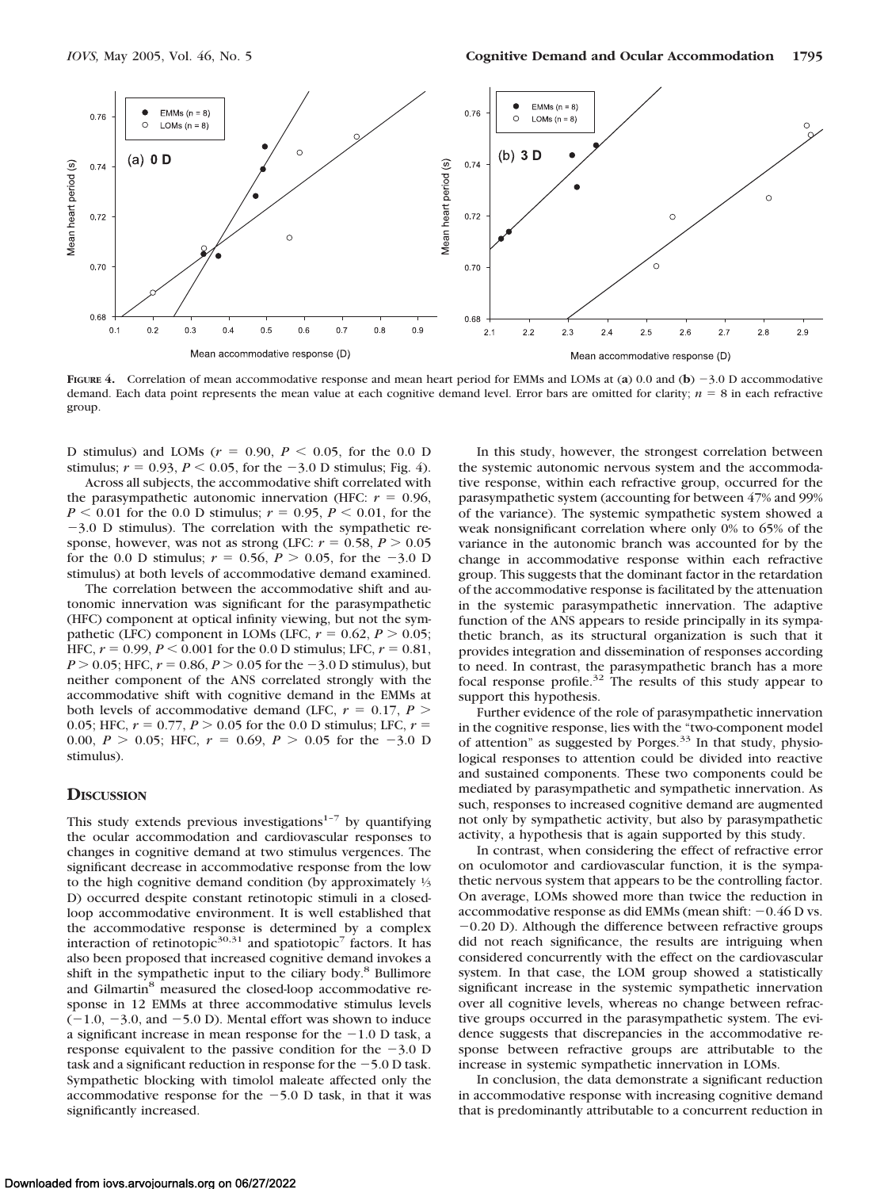

**FIGURE 4.** Correlation of mean accommodative response and mean heart period for EMMs and LOMs at (**a**) 0.0 and (**b**) -3.0 D accommodative demand. Each data point represents the mean value at each cognitive demand level. Error bars are omitted for clarity;  $n = 8$  in each refractive group.

D stimulus) and LOMs  $(r = 0.90, P \le 0.05,$  for the 0.0 D stimulus;  $r = 0.93$ ,  $P < 0.05$ , for the  $-3.0$  D stimulus; Fig. 4).

Across all subjects, the accommodative shift correlated with the parasympathetic autonomic innervation (HFC:  $r = 0.96$ ,  $P \le 0.01$  for the 0.0 D stimulus;  $r = 0.95$ ,  $P \le 0.01$ , for the -3.0 D stimulus). The correlation with the sympathetic response, however, was not as strong (LFC:  $r = 0.58$ ,  $P > 0.05$ ) for the 0.0 D stimulus;  $r = 0.56, P > 0.05$ , for the  $-3.0$  D stimulus) at both levels of accommodative demand examined.

The correlation between the accommodative shift and autonomic innervation was significant for the parasympathetic (HFC) component at optical infinity viewing, but not the sympathetic (LFC) component in LOMs (LFC,  $r = 0.62$ ,  $P > 0.05$ ; HFC,  $r = 0.99$ ,  $P \le 0.001$  for the 0.0 D stimulus; LFC,  $r = 0.81$ ,  $P > 0.05$ ; HFC,  $r = 0.86$ ,  $P > 0.05$  for the  $-3.0$  D stimulus), but neither component of the ANS correlated strongly with the accommodative shift with cognitive demand in the EMMs at both levels of accommodative demand (LFC,  $r = 0.17$ ,  $P >$ 0.05; HFC,  $r = 0.77$ ,  $P > 0.05$  for the 0.0 D stimulus; LFC,  $r =$ 0.00,  $P > 0.05$ ; HFC,  $r = 0.69$ ,  $P > 0.05$  for the -3.0 D stimulus).

#### **DISCUSSION**

This study extends previous investigations $1-7$  by quantifying the ocular accommodation and cardiovascular responses to changes in cognitive demand at two stimulus vergences. The significant decrease in accommodative response from the low to the high cognitive demand condition (by approximately <sup>1</sup>/3 D) occurred despite constant retinotopic stimuli in a closedloop accommodative environment. It is well established that the accommodative response is determined by a complex interaction of retinotopic<sup>30,31</sup> and spatiotopic<sup>7</sup> factors. It has also been proposed that increased cognitive demand invokes a shift in the sympathetic input to the ciliary body.<sup>8</sup> Bullimore and Gilmartin<sup>8</sup> measured the closed-loop accommodative response in 12 EMMs at three accommodative stimulus levels  $(-1.0, -3.0, \text{ and } -5.0 \text{ D})$ . Mental effort was shown to induce a significant increase in mean response for the  $-1.0$  D task, a response equivalent to the passive condition for the  $-3.0$  D task and a significant reduction in response for the  $-5.0$  D task. Sympathetic blocking with timolol maleate affected only the accommodative response for the  $-5.0$  D task, in that it was significantly increased.

In this study, however, the strongest correlation between the systemic autonomic nervous system and the accommodative response, within each refractive group, occurred for the parasympathetic system (accounting for between 47% and 99% of the variance). The systemic sympathetic system showed a weak nonsignificant correlation where only 0% to 65% of the variance in the autonomic branch was accounted for by the change in accommodative response within each refractive group. This suggests that the dominant factor in the retardation of the accommodative response is facilitated by the attenuation in the systemic parasympathetic innervation. The adaptive function of the ANS appears to reside principally in its sympathetic branch, as its structural organization is such that it provides integration and dissemination of responses according to need. In contrast, the parasympathetic branch has a more focal response profile.<sup>32</sup> The results of this study appear to support this hypothesis.

Further evidence of the role of parasympathetic innervation in the cognitive response, lies with the "two-component model of attention" as suggested by Porges.<sup>33</sup> In that study, physiological responses to attention could be divided into reactive and sustained components. These two components could be mediated by parasympathetic and sympathetic innervation. As such, responses to increased cognitive demand are augmented not only by sympathetic activity, but also by parasympathetic activity, a hypothesis that is again supported by this study.

In contrast, when considering the effect of refractive error on oculomotor and cardiovascular function, it is the sympathetic nervous system that appears to be the controlling factor. On average, LOMs showed more than twice the reduction in accommodative response as did EMMs (mean shift:  $-0.46$  D vs. -0.20 D). Although the difference between refractive groups did not reach significance, the results are intriguing when considered concurrently with the effect on the cardiovascular system. In that case, the LOM group showed a statistically significant increase in the systemic sympathetic innervation over all cognitive levels, whereas no change between refractive groups occurred in the parasympathetic system. The evidence suggests that discrepancies in the accommodative response between refractive groups are attributable to the increase in systemic sympathetic innervation in LOMs.

In conclusion, the data demonstrate a significant reduction in accommodative response with increasing cognitive demand that is predominantly attributable to a concurrent reduction in